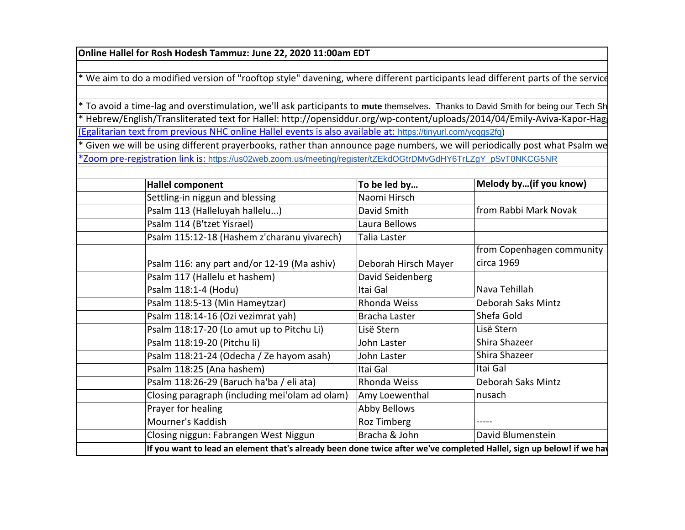**Online Hallel for Rosh Hodesh Tammuz: June 22, 2020 11:00am EDT**

\* We aim to do a modified version of "rooftop style" davening, where different participants lead different parts of the service

[\(Egalitarian text from previous NHC online Hallel events is also available at:](https://tinyurl.com/ycqgs2fq) [https://tinyurl.com/ycqgs2fq\)](https://tinyurl.com/ycqgs2fq) \* To avoid a time-lag and overstimulation, we'll ask participants to mute themselves. Thanks to David Smith for being our Tech Sh thebrew/English/Transliterated text for Hallel: http://opensiddur.org/wp-content/uploads/2014/04/Emily-Aviva-Kapor-Hag

[\\*Zoom pre-registration link is:](https://us02web.zoom.us/meeting/register/tZEkdOGtrDMvGdHY6TrLZgY_pSvT0NKCG5NR) https://us02web.zoom.us/meeting/register/tZEkdOGtrDMvGdHY6TrLZgY\_pSvT0NKCG5NR <sup>\*</sup> Given we will be using different prayerbooks, rather than announce page numbers, we will periodically post what Psalm we

| <b>Hallel component</b>    |                                                                                                                      | To be led by         | Melody by(if you know)    |
|----------------------------|----------------------------------------------------------------------------------------------------------------------|----------------------|---------------------------|
|                            | Settling-in niggun and blessing                                                                                      | Naomi Hirsch         |                           |
|                            | Psalm 113 (Halleluyah hallelu)                                                                                       | David Smith          | from Rabbi Mark Novak     |
| Psalm 114 (B'tzet Yisrael) |                                                                                                                      | Laura Bellows        |                           |
|                            | Psalm 115:12-18 (Hashem z'charanu yivarech)                                                                          | Talia Laster         |                           |
|                            |                                                                                                                      |                      | from Copenhagen community |
|                            | Psalm 116: any part and/or 12-19 (Ma ashiv)                                                                          | Deborah Hirsch Mayer | circa 1969                |
|                            | Psalm 117 (Hallelu et hashem)                                                                                        | David Seidenberg     |                           |
| Psalm 118:1-4 (Hodu)       |                                                                                                                      | Itai Gal             | Nava Tehillah             |
|                            | Psalm 118:5-13 (Min Hameytzar)                                                                                       | Rhonda Weiss         | Deborah Saks Mintz        |
|                            | Psalm 118:14-16 (Ozi vezimrat yah)                                                                                   | Bracha Laster        | Shefa Gold                |
|                            | Psalm 118:17-20 (Lo amut up to Pitchu Li)                                                                            | Lisë Stern           | Lisë Stern                |
|                            | Psalm 118:19-20 (Pitchu li)                                                                                          | John Laster          | Shira Shazeer             |
|                            | Psalm 118:21-24 (Odecha / Ze hayom asah)                                                                             | John Laster          | Shira Shazeer             |
|                            | Psalm 118:25 (Ana hashem)                                                                                            | Itai Gal             | Itai Gal                  |
|                            | Psalm 118:26-29 (Baruch ha'ba / eli ata)                                                                             | Rhonda Weiss         | Deborah Saks Mintz        |
|                            | Closing paragraph (including mei'olam ad olam)                                                                       | Amy Loewenthal       | nusach                    |
| Prayer for healing         |                                                                                                                      | Abby Bellows         |                           |
| Mourner's Kaddish          |                                                                                                                      | Roz Timberg          | .                         |
|                            | Closing niggun: Fabrangen West Niggun                                                                                | Bracha & John        | David Blumenstein         |
|                            | If you want to lead an element that's already been done twice after we've completed Hallel, sign up below! if we hay |                      |                           |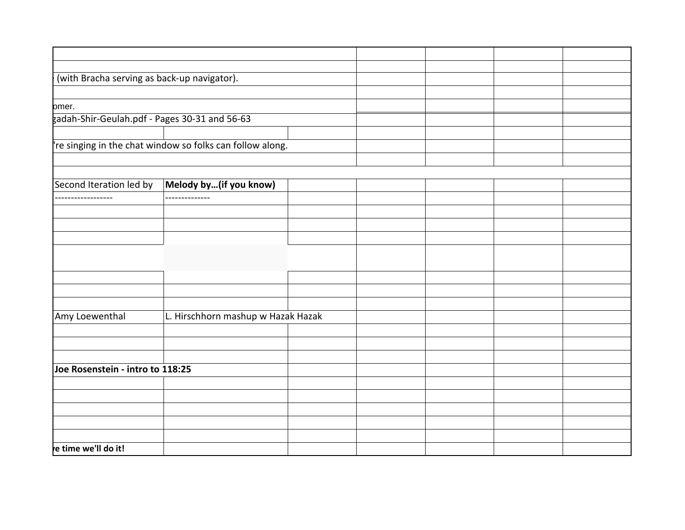| (with Bracha serving as back-up navigator).               |
|-----------------------------------------------------------|
| omer.                                                     |
|                                                           |
| gadah-Shir-Geulah.pdf - Pages 30-31 and 56-63             |
| 're singing in the chat window so folks can follow along. |
|                                                           |
|                                                           |
|                                                           |
| Second Iteration led by   Melody by(if you know)          |
| --------------<br>------------------                      |
|                                                           |
|                                                           |
|                                                           |
|                                                           |
|                                                           |
|                                                           |
|                                                           |
| L. Hirschhorn mashup w Hazak Hazak<br>Amy Loewenthal      |
|                                                           |
|                                                           |
|                                                           |
| Joe Rosenstein - intro to 118:25                          |
|                                                           |
|                                                           |
|                                                           |
|                                                           |
|                                                           |
| re time we'll do it!                                      |
|                                                           |